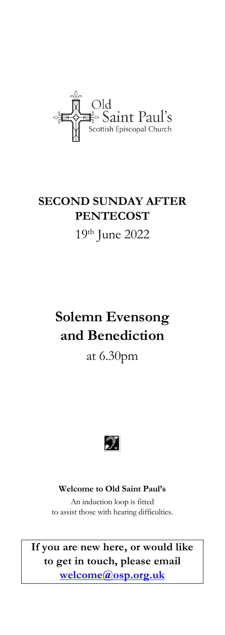

# **SECOND SUNDAY AFTER PENTECOST** 19 th June 2022

# **Solemn Evensong and Benediction**

## at 6.30pm



### **Welcome to Old Saint Paul's**

An induction loop is fitted to assist those with hearing difficulties.

**If you are new here, or would like to get in touch, please email [welcome@osp.org.uk](mailto:welcome@osp.org.uk)**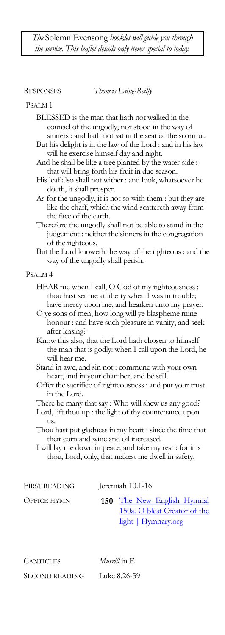*The* Solemn Evensong *booklet will guide you through the service. This leaflet details only items special to today.*

RESPONSES *Thomas Laing-Reilly*

#### PSALM 1

- BLESSED is the man that hath not walked in the counsel of the ungodly, nor stood in the way of sinners : and hath not sat in the seat of the scornful.
- But his delight is in the law of the Lord : and in his law will he exercise himself day and night.
- And he shall be like a tree planted by the water-side : that will bring forth his fruit in due season.
- His leaf also shall not wither : and look, whatsoever he doeth, it shall prosper.
- As for the ungodly, it is not so with them : but they are like the chaff, which the wind scattereth away from the face of the earth.
- Therefore the ungodly shall not be able to stand in the judgement : neither the sinners in the congregation of the righteous.
- But the Lord knoweth the way of the righteous : and the way of the ungodly shall perish.

#### PSALM 4

- HEAR me when I call, O God of my righteousness : thou hast set me at liberty when I was in trouble; have mercy upon me, and hearken unto my prayer.
- O ye sons of men, how long will ye blaspheme mine honour : and have such pleasure in vanity, and seek after leasing?
- Know this also, that the Lord hath chosen to himself the man that is godly: when I call upon the Lord, he will hear me.
- Stand in awe, and sin not : commune with your own heart, and in your chamber, and be still.
- Offer the sacrifice of righteousness : and put your trust in the Lord.
- There be many that say : Who will shew us any good?
- Lord, lift thou up : the light of thy countenance upon us.
- Thou hast put gladness in my heart : since the time that their corn and wine and oil increased.

I will lay me down in peace, and take my rest : for it is thou, Lord, only, that makest me dwell in safety.

| FIRST READING | Jeremiah 10.1-16 |                              |
|---------------|------------------|------------------------------|
| OFFICE HYMN   |                  | 150 The New English Hymnal   |
|               |                  | 150a. O blest Creator of the |
|               |                  | <u>light   Hymnary.org</u>   |

CANTICLES *Murrill* in E SECOND READING Luke 8.26-39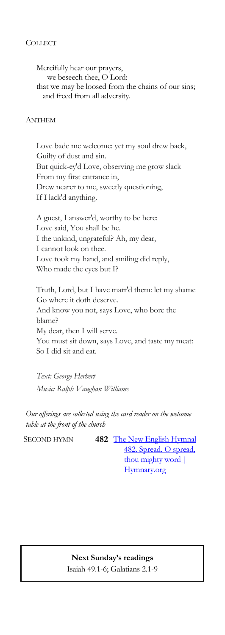### **COLLECT**

Mercifully hear our prayers, we beseech thee, O Lord: that we may be loosed from the chains of our sins; and freed from all adversity.

### ANTHEM

Love bade me welcome: yet my soul drew back, Guilty of dust and sin. But quick-ey'd Love, observing me grow slack From my first entrance in, Drew nearer to me, sweetly questioning, If I lack'd anything.

A guest, I answer'd, worthy to be here: Love said, You shall be he. I the unkind, ungrateful? Ah, my dear, I cannot look on thee. Love took my hand, and smiling did reply, Who made the eyes but I?

Truth, Lord, but I have marr'd them: let my shame Go where it doth deserve. And know you not, says Love, who bore the blame? My dear, then I will serve. You must sit down, says Love, and taste my meat: So I did sit and eat.

*Text: George Herbert Music: Ralph Vaughan Williams*

*Our offerings are collected using the card reader on the welcome table at the front of the church*

SECOND HYMN **482** The New English Hymnal [482. Spread, O spread,](https://hymnary.org/hymn/NEH1985/482)  thou mighty word | [Hymnary.org](https://hymnary.org/hymn/NEH1985/482)

> **Next Sunday's readings** Isaiah 49.1-6; Galatians 2.1-9